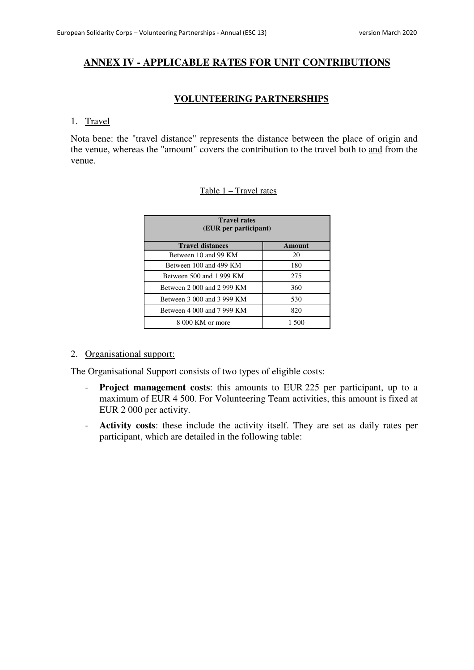# **ANNEX IV - APPLICABLE RATES FOR UNIT CONTRIBUTIONS**

### **VOLUNTEERING PARTNERSHIPS**

#### 1. Travel

Nota bene: the "travel distance" represents the distance between the place of origin and the venue, whereas the "amount" covers the contribution to the travel both to and from the venue.

### Table 1 – Travel rates

| <b>Travel rates</b><br>(EUR per participant) |        |
|----------------------------------------------|--------|
| <b>Travel distances</b>                      | Amount |
| Between 10 and 99 KM                         | 20     |
| Between 100 and 499 KM                       | 180    |
| Between 500 and 1 999 KM                     | 275    |
| Between 2 000 and 2 999 KM                   | 360    |
| Between 3 000 and 3 999 KM                   | 530    |
| Between 4 000 and 7 999 KM                   | 820    |
| 8 000 KM or more                             | 1.500  |

### 2. Organisational support:

The Organisational Support consists of two types of eligible costs:

- **Project management costs**: this amounts to EUR 225 per participant, up to a maximum of EUR 4 500. For Volunteering Team activities, this amount is fixed at EUR 2 000 per activity.
- **Activity costs**: these include the activity itself. They are set as daily rates per participant, which are detailed in the following table: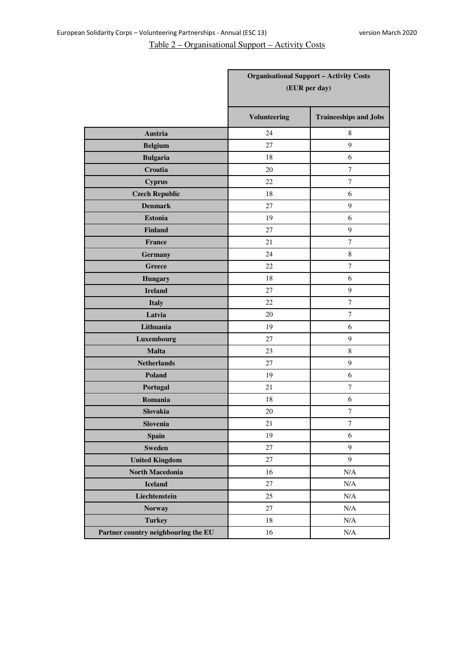# Table 2 – Organisational Support – Activity Costs

|                                     |                     | <b>Organisational Support - Activity Costs</b><br>(EUR per day) |
|-------------------------------------|---------------------|-----------------------------------------------------------------|
|                                     | <b>Volunteering</b> | <b>Traineeships and Jobs</b>                                    |
| Austria                             | 24                  | 8                                                               |
| <b>Belgium</b>                      | 27                  | 9                                                               |
| <b>Bulgaria</b>                     | 18                  | 6                                                               |
| Croatia                             | 20                  | $\tau$                                                          |
| <b>Cyprus</b>                       | 22                  | $\boldsymbol{7}$                                                |
| <b>Czech Republic</b>               | 18                  | 6                                                               |
| <b>Denmark</b>                      | 27                  | 9                                                               |
| <b>Estonia</b>                      | 19                  | 6                                                               |
| <b>Finland</b>                      | 27                  | 9                                                               |
| <b>France</b>                       | 21                  | $\tau$                                                          |
| <b>Germany</b>                      | 24                  | $\,8\,$                                                         |
| <b>Greece</b>                       | 22                  | $\tau$                                                          |
| <b>Hungary</b>                      | 18                  | 6                                                               |
| <b>Ireland</b>                      | 27                  | $\overline{9}$                                                  |
| <b>Italy</b>                        | 22                  | $\tau$                                                          |
| Latvia                              | 20                  | $\tau$                                                          |
| Lithuania                           | 19                  | 6                                                               |
| Luxembourg                          | 27                  | 9                                                               |
| <b>Malta</b>                        | 23                  | $\,$ 8 $\,$                                                     |
| <b>Netherlands</b>                  | 27                  | 9                                                               |
| Poland                              | 19                  | 6                                                               |
| Portugal                            | 21                  | $\boldsymbol{7}$                                                |
| Romania                             | 18                  | 6                                                               |
| Slovakia                            | 20                  | $\boldsymbol{7}$                                                |
| Slovenia                            | 21                  | 7                                                               |
| <b>Spain</b>                        | 19                  | $\sqrt{6}$                                                      |
| <b>Sweden</b>                       | 27                  | $\boldsymbol{9}$                                                |
| <b>United Kingdom</b>               | 27                  | $\overline{9}$                                                  |
| <b>North Macedonia</b>              | 16                  | $\rm N/A$                                                       |
| <b>Iceland</b>                      | $27\,$              | $\rm N/A$                                                       |
| Liechtenstein                       | 25                  | $\rm N/A$                                                       |
| <b>Norway</b>                       | 27                  | $\rm N/A$                                                       |
| <b>Turkey</b>                       | 18                  | $\rm N/A$                                                       |
| Partner country neighbouring the EU | 16                  | $\rm N/A$                                                       |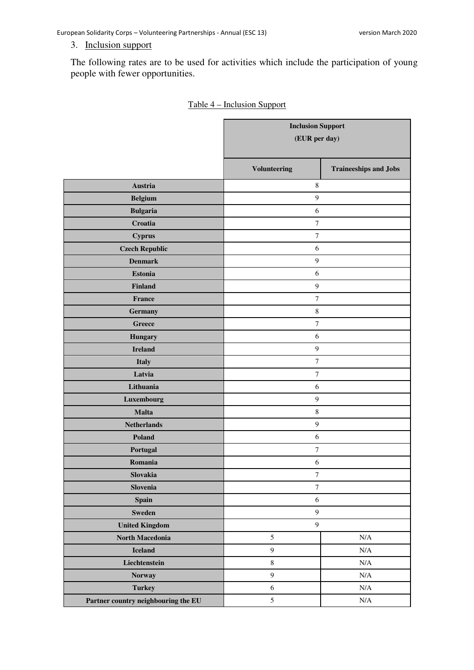### 3. Inclusion support

The following rates are to be used for activities which include the participation of young people with fewer opportunities.

|                                     | <b>Inclusion Support</b><br>(EUR per day) |                              |
|-------------------------------------|-------------------------------------------|------------------------------|
|                                     | <b>Volunteering</b>                       | <b>Traineeships and Jobs</b> |
| Austria                             | $\,$ 8 $\,$                               |                              |
| <b>Belgium</b>                      | $\mathbf{9}$                              |                              |
| <b>Bulgaria</b>                     | $\epsilon$                                |                              |
| Croatia                             | $\boldsymbol{7}$                          |                              |
| <b>Cyprus</b>                       | $\boldsymbol{7}$                          |                              |
| <b>Czech Republic</b>               | $\epsilon$                                |                              |
| <b>Denmark</b>                      | $\mathbf{9}$                              |                              |
| <b>Estonia</b>                      | 6                                         |                              |
| <b>Finland</b>                      | $\mathbf{9}$                              |                              |
| France                              | $\tau$                                    |                              |
| Germany                             | $\,$ 8 $\,$                               |                              |
| Greece                              | $\boldsymbol{7}$                          |                              |
| <b>Hungary</b>                      | 6                                         |                              |
| <b>Ireland</b>                      | $\overline{9}$                            |                              |
| <b>Italy</b>                        | $\boldsymbol{7}$                          |                              |
| Latvia                              | $\boldsymbol{7}$                          |                              |
| Lithuania                           | $\epsilon$                                |                              |
| Luxembourg                          | $\overline{9}$                            |                              |
| Malta                               | $\,$ 8 $\,$                               |                              |
| <b>Netherlands</b>                  | $\boldsymbol{9}$                          |                              |
| Poland                              | $\epsilon$                                |                              |
| Portugal                            | $\tau$                                    |                              |
| Romania                             | 6                                         |                              |
| Slovakia                            | $\boldsymbol{7}$                          |                              |
| Slovenia                            | $\boldsymbol{7}$                          |                              |
| Spain                               | $\sqrt{6}$                                |                              |
| <b>Sweden</b>                       | $\boldsymbol{9}$                          |                              |
| <b>United Kingdom</b>               | $\boldsymbol{9}$                          |                              |
| North Macedonia                     | $\sqrt{5}$                                | $\rm N/A$                    |
| <b>Iceland</b>                      | $\boldsymbol{9}$                          | $\rm N/A$                    |
| Liechtenstein                       | $\,8\,$                                   | N/A                          |
| <b>Norway</b>                       | 9                                         | N/A                          |
| <b>Turkey</b>                       | $\sqrt{6}$                                | $\rm N/A$                    |
| Partner country neighbouring the EU | $\mathfrak{S}$                            | N/A                          |

### Table 4 – Inclusion Support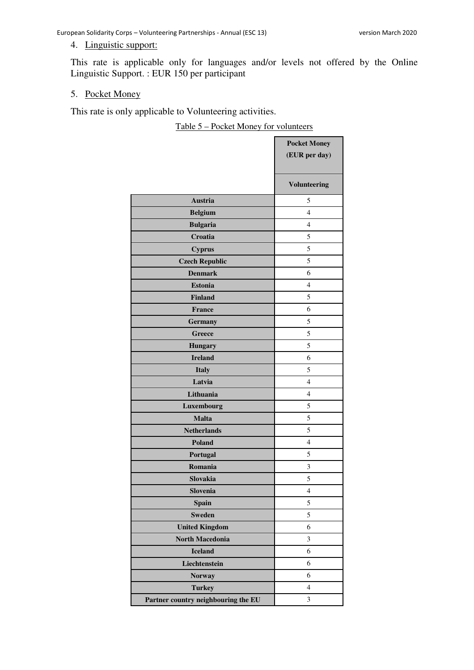### 4. Linguistic support:

This rate is applicable only for languages and/or levels not offered by the Online Linguistic Support. : EUR 150 per participant

#### 5. Pocket Money

This rate is only applicable to Volunteering activities.

Table 5 – Pocket Money for volunteers

|                                     | <b>Pocket Money</b>     |
|-------------------------------------|-------------------------|
|                                     | (EUR per day)           |
|                                     |                         |
|                                     | <b>Volunteering</b>     |
| Austria                             | 5                       |
| <b>Belgium</b>                      | 4                       |
| <b>Bulgaria</b>                     | $\overline{4}$          |
| Croatia                             | 5                       |
| <b>Cyprus</b>                       | 5                       |
| <b>Czech Republic</b>               | 5                       |
| <b>Denmark</b>                      | 6                       |
| <b>Estonia</b>                      | 4                       |
| <b>Finland</b>                      | 5                       |
| <b>France</b>                       | 6                       |
| <b>Germany</b>                      | 5                       |
| <b>Greece</b>                       | 5                       |
| <b>Hungary</b>                      | 5                       |
| <b>Ireland</b>                      | 6                       |
| <b>Italy</b>                        | 5                       |
| Latvia                              | 4                       |
| Lithuania                           | $\overline{4}$          |
| Luxembourg                          | 5                       |
| <b>Malta</b>                        | 5                       |
| <b>Netherlands</b>                  | 5                       |
| <b>Poland</b>                       | $\overline{4}$          |
| Portugal                            | 5                       |
| Romania                             | 3                       |
| Slovakia                            | 5                       |
| Slovenia                            | 4                       |
| <b>Spain</b>                        | 5                       |
| <b>Sweden</b>                       | 5                       |
| <b>United Kingdom</b>               | 6                       |
| <b>North Macedonia</b>              | 3                       |
| <b>Iceland</b>                      | 6                       |
| Liechtenstein                       | 6                       |
| <b>Norway</b>                       | 6                       |
| <b>Turkey</b>                       | $\overline{\mathbf{4}}$ |
| Partner country neighbouring the EU | 3                       |